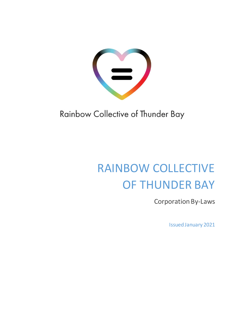

Rainbow Collective of Thunder Bay

# RAINBOW COLLECTIVE OF THUNDER BAY

Corporation By-Laws

Issued January 2021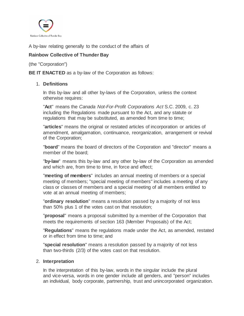

A by-law relating generally to the conduct of the affairs of

# **Rainbow Collective of Thunder Bay**

(the "Corporation")

**BE IT ENACTED** as a by-law of the Corporation as follows:

## 1. **Definitions**

In this by-law and all other by-laws of the Corporation, unless the context otherwise requires:

"**Act**" means the *Canada Not-For-Profit Corporations Act* S.C. 2009, c. 23 including the Regulations made pursuant to the Act, and any statute or regulations that may be substituted, as amended from time to time;

"**articles**" means the original or restated articles of incorporation or articles of amendment, amalgamation, continuance, reorganization, arrangement or revival of the Corporation;

"**board**" means the board of directors of the Corporation and "director" means a member of the board;

"**by-law**" means this by-law and any other by-law of the Corporation as amended and which are, from time to time, in force and effect;

"**meeting of members**" includes an annual meeting of members or a special meeting of members; "special meeting of members" includes a meeting of any class or classes of members and a special meeting of all members entitled to vote at an annual meeting of members;

"**ordinary resolution**" means a resolution passed by a majority of not less than 50% plus 1 of the votes cast on that resolution;

"**proposal**" means a proposal submitted by a member of the Corporation that meets the requirements of section 163 (Member Proposals) of the Act;

"**Regulations**" means the regulations made under the Act, as amended, restated or in effect from time to time; and

"**special resolution**" means a resolution passed by a majority of not less than two-thirds (2/3) of the votes cast on that resolution.

### 2. **Interpretation**

In the interpretation of this by-law, words in the singular include the plural and vice-versa, words in one gender include all genders, and "person" includes an individual, body corporate, partnership, trust and unincorporated organization.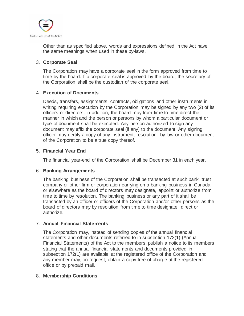

Other than as specified above, words and expressions defined in the Act have the same meanings when used in these by-laws.

## 3. **Corporate Seal**

The Corporation may have a corporate seal in the form approved from time to time by the board. If a corporate seal is approved by the board, the secretary of the Corporation shall be the custodian of the corporate seal.

### 4. **Execution of Documents**

Deeds, transfers, assignments, contracts, obligations and other instruments in writing requiring execution by the Corporation may be signed by any two (2) of its officers or directors. In addition, the board may from time to time direct the manner in which and the person or persons by whom a particular document or type of document shall be executed. Any person authorized to sign any document may affix the corporate seal (if any) to the document. Any signing officer may certify a copy of any instrument, resolution, by-law or other document of the Corporation to be a true copy thereof.

## 5. **Financial Year End**

The financial year-end of the Corporation shall be December 31 in each year.

### 6. **Banking Arrangements**

The banking business of the Corporation shall be transacted at such bank, trust company or other firm or corporation carrying on a banking business in Canada or elsewhere as the board of directors may designate, appoint or authorize from time to time by resolution. The banking business or any part of it shall be transacted by an officer or officers of the Corporation and/or other persons as the board of directors may by resolution from time to time designate, direct or authorize.

### 7. **Annual Financial Statements**

The Corporation may, instead of sending copies of the annual financial statements and other documents referred to in subsection 172(1) (Annual Financial Statements) of the Act to the members, publish a notice to its members stating that the annual financial statements and documents provided in subsection 172(1) are available at the registered office of the Corporation and any member may, on request, obtain a copy free of charge at the registered office or by prepaid mail.

### 8. **Membership Conditions**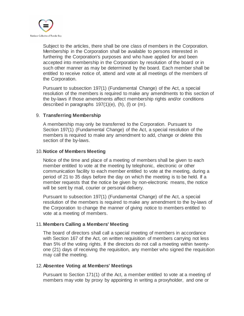

Subject to the articles, there shall be one class of members in the Corporation. Membership in the Corporation shall be available to persons interested in furthering the Corporation's purposes and who have applied for and been accepted into membership in the Corporation by resolution of the board or in such other manner as may be determined by the board. Each member shall be entitled to receive notice of, attend and vote at all meetings of the members of the Corporation.

Pursuant to subsection 197(1) (Fundamental Change) of the Act, a special resolution of the members is required to make any amendments to this section of the by-laws if those amendments affect membership rights and/or conditions described in paragraphs 197(1)(e), (h), (l) or (m).

#### 9. **Transferring Membership**

A membership may only be transferred to the Corporation. Pursuant to Section 197(1) (Fundamental Change) of the Act, a special resolution of the members is required to make any amendment to add, change or delete this section of the by-laws.

#### 10.**Notice of Members Meeting**

Notice of the time and place of a meeting of members shall be given to each member entitled to vote at the meeting by telephonic, electronic or other communication facility to each member entitled to vote at the meeting, during a period of 21 to 35 days before the day on which the meeting is to be held. If a member requests that the notice be given by non-electronic means, the notice will be sent by mail, courier or personal delivery.

Pursuant to subsection 197(1) (Fundamental Change) of the Act, a special resolution of the members is required to make any amendment to the by-laws of the Corporation to change the manner of giving notice to members entitled to vote at a meeting of members.

#### 11.**Members Calling a Members' Meeting**

The board of directors shall call a special meeting of members in accordance with Section 167 of the Act, on written requisition of members carrying not less than 5% of the voting rights. If the directors do not call a meeting within twentyone (21) days of receiving the requisition, any member who signed the requisition may call the meeting.

#### 12.**Absentee Voting at Members' Meetings**

Pursuant to Section 171(1) of the Act, a member entitled to vote at a meeting of members may vote by proxy by appointing in writing a proxyholder, and one or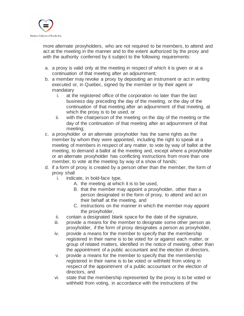

more alternate proxyholders, who are not required to be members, to attend and act at the meeting in the manner and to the extent authorized by the proxy and with the authority conferred by it subject to the following requirements:

- a. a proxy is valid only at the meeting in respect of which it is given or at a continuation of that meeting after an adjournment;
- b. a member may revoke a proxy by depositing an instrument or act in writing executed or, in Quebec, signed by the member or by their agent or mandatary
	- i. at the registered office of the corporation no later than the last business day preceding the day of the meeting, or the day of the continuation of that meeting after an adjournment of that meeting, at which the proxy is to be used, or
	- ii. with the chairperson of the meeting on the day of the meeting or the day of the continuation of that meeting after an adjournment of that meeting;
- c. a proxyholder or an alternate proxyholder has the same rights as the member by whom they were appointed, including the right to speak at a meeting of members in respect of any matter, to vote by way of ballot at the meeting, to demand a ballot at the meeting and, except where a proxyholder or an alternate proxyholder has conflicting instructions from more than one member, to vote at the meeting by way of a show of hands;
- d. if a form of proxy is created by a person other than the member, the form of proxy shall
	- i. indicate, in bold-face type,
		- A. the meeting at which it is to be used,
		- B. that the member may appoint a proxyholder, other than a person designated in the form of proxy, to attend and act on their behalf at the meeting, and
		- C. instructions on the manner in which the member may appoint the proxyholder,
	- ii. contain a designated blank space for the date of the signature,
	- iii. provide a means for the member to designate some other person as proxyholder, if the form of proxy designates a person as proxyholder,
	- iv. provide a means for the member to specify that the membership registered in their name is to be voted for or against each matter, or group of related matters, identified in the notice of meeting, other than the appointment of a public accountant and the election of directors,
	- v. provide a means for the member to specify that the membership registered in their name is to be voted or withheld from voting in respect of the appointment of a public accountant or the election of directors, and
	- vi. state that the membership represented by the proxy is to be voted or withheld from voting, in accordance with the instructions of the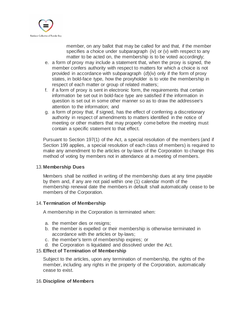

member, on any ballot that may be called for and that, if the member specifies a choice under subparagraph (iv) or (v) with respect to any matter to be acted on, the membership is to be voted accordingly;

- e. a form of proxy may include a statement that, when the proxy is signed, the member confers authority with respect to matters for which a choice is not provided in accordance with subparagraph (*d*)(iv) only if the form of proxy states, in bold-face type, how the proxyholder is to vote the membership in respect of each matter or group of related matters;
- f. if a form of proxy is sent in electronic form, the requirements that certain information be set out in bold-face type are satisfied if the information in question is set out in some other manner so as to draw the addressee's attention to the information; and
- g. a form of proxy that, if signed, has the effect of conferring a discretionary authority in respect of amendments to matters identified in the notice of meeting or other matters that may properly come before the meeting must contain a specific statement to that effect.

Pursuant to Section 197(1) of the Act, a special resolution of the members (and if Section 199 applies, a special resolution of each class of members) is required to make any amendment to the articles or by-laws of the Corporation to change this method of voting by members not in attendance at a meeting of members.

### 13.**Membership Dues**

Members shall be notified in writing of the membership dues at any time payable by them and, if any are not paid within one (1) calendar month of the membership renewal date the members in default shall automatically cease to be members of the Corporation.

### 14.**Termination of Membership**

A membership in the Corporation is terminated when:

- a. the member dies or resigns;
- b. the member is expelled or their membership is otherwise terminated in accordance with the articles or by-laws;
- c. the member's term of membership expires; or
- d. the Corporation is liquidated and dissolved under the Act.

# 15.**Effect of Termination of Membership**

Subject to the articles, upon any termination of membership, the rights of the member, including any rights in the property of the Corporation, automatically cease to exist.

### 16.**Discipline of Members**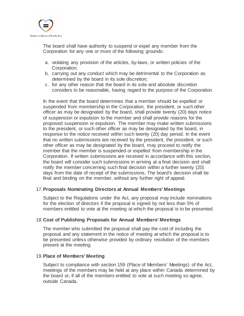

The board shall have authority to suspend or expel any member from the Corporation for any one or more of the following grounds:

- a. violating any provision of the articles, by-laws, or written policies of the Corporation;
- b. carrying out any conduct which may be detrimental to the Corporation as determined by the board in its sole discretion;
- c. for any other reason that the board in its sole and absolute discretion considers to be reasonable, having regard to the purpose of the Corporation.

In the event that the board determines that a member should be expelled or suspended from membership in the Corporation, the president, or such other officer as may be designated by the board, shall provide twenty (20) days notice of suspension or expulsion to the member and shall provide reasons for the proposed suspension or expulsion. The member may make written submissions to the president, or such other officer as may be designated by the board, in response to the notice received within such twenty (20) day period. In the event that no written submissions are received by the president, the president, or such other officer as may be designated by the board, may proceed to notify the member that the member is suspended or expelled from membership in the Corporation. If written submissions are received in accordance with this section, the board will consider such submissions in arriving at a final decision and shall notify the member concerning such final decision within a further twenty (20) days from the date of receipt of the submissions. The board's decision shall be final and binding on the member, without any further right of appeal.

### 17.**Proposals Nominating Directors at Annual Members' Meetings**

Subject to the Regulations under the Act, any proposal may include nominations for the election of directors if the proposal is signed by not less than 5% of members entitled to vote at the meeting at which the proposal is to be presented.

### 18.**Cost of Publishing Proposals for Annual Members' Meetings**

The member who submitted the proposal shall pay the cost of including the proposal and any statement in the notice of meeting at which the proposal is to be presented unless otherwise provided by ordinary resolution of the members present at the meeting.

### 19.**Place of Members' Meeting**

Subject to compliance with section 159 (Place of Members' Meetings) of the Act, meetings of the members may be held at any place within Canada determined by the board or, if all of the members entitled to vote at such meeting so agree, outside Canada.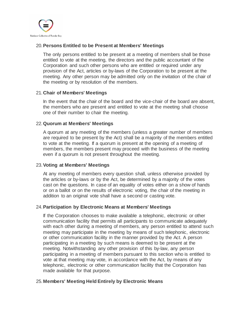

## 20.**Persons Entitled to be Present at Members' Meetings**

The only persons entitled to be present at a meeting of members shall be those entitled to vote at the meeting, the directors and the public accountant of the Corporation and such other persons who are entitled or required under any provision of the Act, articles or by-laws of the Corporation to be present at the meeting. Any other person may be admitted only on the invitation of the chair of the meeting or by resolution of the members.

### 21.**Chair of Members' Meetings**

In the event that the chair of the board and the vice-chair of the board are absent, the members who are present and entitled to vote at the meeting shall choose one of their number to chair the meeting.

### 22.**Quorum at Members' Meetings**

A quorum at any meeting of the members (unless a greater number of members are required to be present by the Act) shall be a majority of the members entitled to vote at the meeting. If a quorum is present at the opening of a meeting of members, the members present may proceed with the business of the meeting even if a quorum is not present throughout the meeting.

### 23.**Voting at Members' Meetings**

At any meeting of members every question shall, unless otherwise provided by the articles or by-laws or by the Act, be determined by a majority of the votes cast on the questions. In case of an equality of votes either on a show of hands or on a ballot or on the results of electronic voting, the chair of the meeting in addition to an original vote shall have a second or casting vote.

### 24.**Participation by Electronic Means at Members' Meetings**

If the Corporation chooses to make available a telephonic, electronic or other communication facility that permits all participants to communicate adequately with each other during a meeting of members, any person entitled to attend such meeting may participate in the meeting by means of such telephonic, electronic or other communication facility in the manner provided by the Act. A person participating in a meeting by such means is deemed to be present at the meeting. Notwithstanding any other provision of this by-law, any person participating in a meeting of members pursuant to this section who is entitled to vote at that meeting may vote, in accordance with the Act, by means of any telephonic, electronic or other communication facility that the Corporation has made available for that purpose.

# 25.**Members' Meeting Held Entirely by Electronic Means**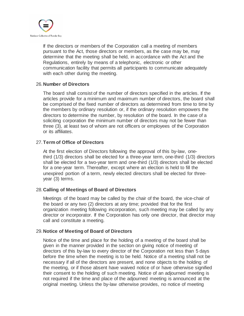

If the directors or members of the Corporation call a meeting of members pursuant to the Act, those directors or members, as the case may be, may determine that the meeting shall be held, in accordance with the Act and the Regulations, entirely by means of a telephonic, electronic or other communication facility that permits all participants to communicate adequately with each other during the meeting.

#### 26.**Number of Directors**

The board shall consist of the number of directors specified in the articles. If the articles provide for a minimum and maximum number of directors, the board shall be comprised of the fixed number of directors as determined from time to time by the members by ordinary resolution or, if the ordinary resolution empowers the directors to determine the number, by resolution of the board. In the case of a soliciting corporation the minimum number of directors may not be fewer than three (3), at least two of whom are not officers or employees of the Corporation or its affiliates.

## 27.**Term of Office of Directors**

At the first election of Directors following the approval of this by-law, onethird (1/3) directors shall be elected for a three-year term, one-third (1/3) directors shall be elected for a two-year term and one-third (1/3) directors shall be elected for a one-year term. Thereafter, except where an election is held to fill the unexpired portion of a term, newly elected directors shall be elected for threeyear (3) terms.

### 28.**Calling of Meetings of Board of Directors**

Meetings of the board may be called by the chair of the board, the vice-chair of the board or any two (2) directors at any time; provided that for the first organization meeting following incorporation, such meeting may be called by any director or incorporator. If the Corporation has only one director, that director may call and constitute a meeting.

### 29.**Notice of Meeting of Board of Directors**

Notice of the time and place for the holding of a meeting of the board shall be given in the manner provided in the section on giving notice of meeting of directors of this by-law to every director of the Corporation not less than 5 days before the time when the meeting is to be held. Notice of a meeting shall not be necessary if all of the directors are present, and none objects to the holding of the meeting, or if those absent have waived notice of or have otherwise signified their consent to the holding of such meeting. Notice of an adjourned meeting is not required if the time and place of the adjourned meeting is announced at the original meeting. Unless the by-law otherwise provides, no notice of meeting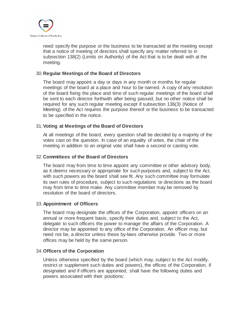

need specify the purpose or the business to be transacted at the meeting except that a notice of meeting of directors shall specify any matter referred to in subsection 138(2) (Limits on Authority) of the Act that is to be dealt with at the meeting.

### 30.**Regular Meetings of the Board of Directors**

The board may appoint a day or days in any month or months for regular meetings of the board at a place and hour to be named. A copy of any resolution of the board fixing the place and time of such regular meetings of the board shall be sent to each director forthwith after being passed, but no other notice shall be required for any such regular meeting except if subsection 136(3) (Notice of Meeting) of the Act requires the purpose thereof or the business to be transacted to be specified in the notice.

### 31.**Voting at Meetings of the Board of Directors**

At all meetings of the board, every question shall be decided by a majority of the votes cast on the question. In case of an equality of votes, the chair of the meeting in addition to an original vote shall have a second or casting vote.

#### 32.**Committees of the Board of Directors**

The board may from time to time appoint any committee or other advisory body, as it deems necessary or appropriate for such purposes and, subject to the Act, with such powers as the board shall see fit. Any such committee may formulate its own rules of procedure, subject to such regulations or directions as the board may from time to time make. Any committee member may be removed by resolution of the board of directors.

### 33.**Appointment of Officers**

The board may designate the offices of the Corporation, appoint officers on an annual or more frequent basis, specify their duties and, subject to the Act, delegate to such officers the power to manage the affairs of the Corporation. A director may be appointed to any office of the Corporation. An officer may, but need not be, a director unless these by-laws otherwise provide. Two or more offices may be held by the same person.

### 34.**Officers of the Corporation**

Unless otherwise specified by the board (which may, subject to the Act modify, restrict or supplement such duties and powers), the offices of the Corporation, if designated and if officers are appointed, shall have the following duties and powers associated with their positions: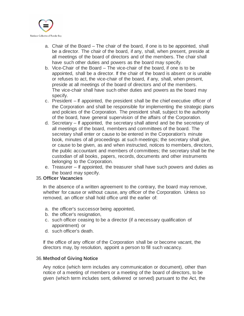

- a. Chair of the Board The chair of the board, if one is to be appointed, shall be a director. The chair of the board, if any, shall, when present, preside at all meetings of the board of directors and of the members. The chair shall have such other duties and powers as the board may specify.
- b. Vice-Chair of the Board The vice-chair of the board, if one is to be appointed, shall be a director. If the chair of the board is absent or is unable or refuses to act, the vice-chair of the board, if any, shall, when present, preside at all meetings of the board of directors and of the members. The vice-chair shall have such other duties and powers as the board may specify.
- c. President If appointed, the president shall be the chief executive officer of the Corporation and shall be responsible for implementing the strategic plans and policies of the Corporation. The president shall, subject to the authority of the board, have general supervision of the affairs of the Corporation.
- d. Secretary If appointed, the secretary shall attend and be the secretary of all meetings of the board, members and committees of the board. The secretary shall enter or cause to be entered in the Corporation's minute book, minutes of all proceedings at such meetings; the secretary shall give, or cause to be given, as and when instructed, notices to members, directors, the public accountant and members of committees; the secretary shall be the custodian of all books, papers, records, documents and other instruments belonging to the Corporation.
- e. Treasurer If appointed, the treasurer shall have such powers and duties as the board may specify.

## 35.**Officer Vacancies**

In the absence of a written agreement to the contrary, the board may remove, whether for cause or without cause, any officer of the Corporation. Unless so removed, an officer shall hold office until the earlier of:

- a. the officer's successor being appointed,
- b. the officer's resignation,
- c. such officer ceasing to be a director (if a necessary qualification of appointment) or
- d. such officer's death.

If the office of any officer of the Corporation shall be or become vacant, the directors may, by resolution, appoint a person to fill such vacancy.

# 36.**Method of Giving Notice**

Any notice (which term includes any communication or document), other than notice of a meeting of members or a meeting of the board of directors, to be given (which term includes sent, delivered or served) pursuant to the Act, the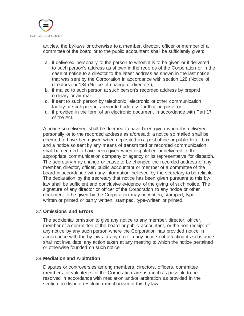

articles, the by-laws or otherwise to a member, director, officer or member of a committee of the board or to the public accountant shall be sufficiently given:

- a. if delivered personally to the person to whom it is to be given or if delivered to such person's address as shown in the records of the Corporation or in the case of notice to a director to the latest address as shown in the last notice that was sent by the Corporation in accordance with section 128 (Notice of directors) or 134 (Notice of change of directors);
- b. if mailed to such person at such person's recorded address by prepaid ordinary or air mail;
- c. if sent to such person by telephonic, electronic or other communication facility at such person's recorded address for that purpose; or
- d. if provided in the form of an electronic document in accordance with Part 17 of the Act.

A notice so delivered shall be deemed to have been given when it is delivered personally or to the recorded address as aforesaid; a notice so mailed shall be deemed to have been given when deposited in a post office or public letter box; and a notice so sent by any means of transmitted or recorded communication shall be deemed to have been given when dispatched or delivered to the appropriate communication company or agency or its representative for dispatch. The secretary may change or cause to be changed the recorded address of any member, director, officer, public accountant or member of a committee of the board in accordance with any information believed by the secretary to be reliable. The declaration by the secretary that notice has been given pursuant to this bylaw shall be sufficient and conclusive evidence of the giving of such notice. The signature of any director or officer of the Corporation to any notice or other document to be given by the Corporation may be written, stamped, typewritten or printed or partly written, stamped, type-written or printed.

### 37.**Omissions and Errors**

The accidental omission to give any notice to any member, director, officer, member of a committee of the board or public accountant, or the non-receipt of any notice by any such person where the Corporation has provided notice in accordance with the by-laws or any error in any notice not affecting its substance shall not invalidate any action taken at any meeting to which the notice pertained or otherwise founded on such notice.

#### 38.**Mediation and Arbitration**

Disputes or controversies among members, directors, officers, committee members, or volunteers of the Corporation are as much as possible to be resolved in accordance with mediation and/or arbitration as provided in the section on dispute resolution mechanism of this by-law.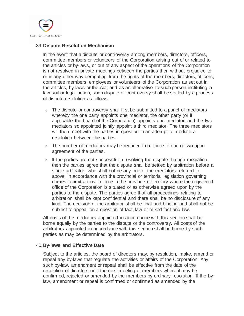

#### 39.**Dispute Resolution Mechanism**

In the event that a dispute or controversy among members, directors, officers, committee members or volunteers of the Corporation arising out of or related to the articles or by-laws, or out of any aspect of the operations of the Corporation is not resolved in private meetings between the parties then without prejudice to or in any other way derogating from the rights of the members, directors, officers, committee members, employees or volunteers of the Corporation as set out in the articles, by-laws or the Act, and as an alternative to such person instituting a law suit or legal action, such dispute or controversy shall be settled by a process of dispute resolution as follows:

- o The dispute or controversy shall first be submitted to a panel of mediators whereby the one party appoints one mediator, the other party (or if applicable the board of the Corporation) appoints one mediator, and the two mediators so appointed jointly appoint a third mediator. The three mediators will then meet with the parties in question in an attempt to mediate a resolution between the parties.
- $\circ$  The number of mediators may be reduced from three to one or two upon agreement of the parties.
- $\circ$  If the parties are not successful in resolving the dispute through mediation, then the parties agree that the dispute shall be settled by arbitration before a single arbitrator, who shall not be any one of the mediators referred to above, in accordance with the provincial or territorial legislation governing domestic arbitrations in force in the province or territory where the registered office of the Corporation is situated or as otherwise agreed upon by the parties to the dispute. The parties agree that all proceedings relating to arbitration shall be kept confidential and there shall be no disclosure of any kind. The decision of the arbitrator shall be final and binding and shall not be subject to appeal on a question of fact, law or mixed fact and law.

All costs of the mediators appointed in accordance with this section shall be borne equally by the parties to the dispute or the controversy. All costs of the arbitrators appointed in accordance with this section shall be borne by such parties as may be determined by the arbitrators.

#### 40.**By-laws and Effective Date**

Subject to the articles, the board of directors may, by resolution, make, amend or repeal any by-laws that regulate the activities or affairs of the Corporation. Any such by-law, amendment or repeal shall be effective from the date of the resolution of directors until the next meeting of members where it may be confirmed, rejected or amended by the members by ordinary resolution. If the bylaw, amendment or repeal is confirmed or confirmed as amended by the